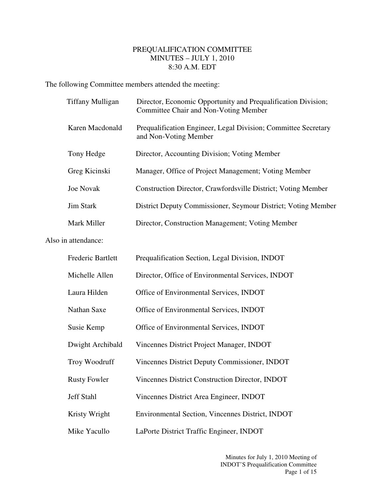## PREQUALIFICATION COMMITTEE MINUTES – JULY 1, 2010 8:30 A.M. EDT

The following Committee members attended the meeting:

| <b>Tiffany Mulligan</b> | Director, Economic Opportunity and Prequalification Division;<br>Committee Chair and Non-Voting Member |
|-------------------------|--------------------------------------------------------------------------------------------------------|
| Karen Macdonald         | Prequalification Engineer, Legal Division; Committee Secretary<br>and Non-Voting Member                |
| Tony Hedge              | Director, Accounting Division; Voting Member                                                           |
| Greg Kicinski           | Manager, Office of Project Management; Voting Member                                                   |
| <b>Joe Novak</b>        | Construction Director, Crawfordsville District; Voting Member                                          |
| <b>Jim Stark</b>        | District Deputy Commissioner, Seymour District; Voting Member                                          |
| Mark Miller             | Director, Construction Management; Voting Member                                                       |

Also in attendance:

| <b>Frederic Bartlett</b> | Prequalification Section, Legal Division, INDOT   |
|--------------------------|---------------------------------------------------|
| Michelle Allen           | Director, Office of Environmental Services, INDOT |
| Laura Hilden             | Office of Environmental Services, INDOT           |
| <b>Nathan Saxe</b>       | Office of Environmental Services, INDOT           |
| Susie Kemp               | Office of Environmental Services, INDOT           |
| Dwight Archibald         | Vincennes District Project Manager, INDOT         |
| Troy Woodruff            | Vincennes District Deputy Commissioner, INDOT     |
| <b>Rusty Fowler</b>      | Vincennes District Construction Director, INDOT   |
| <b>Jeff Stahl</b>        | Vincennes District Area Engineer, INDOT           |
| Kristy Wright            | Environmental Section, Vincennes District, INDOT  |
| Mike Yacullo             | LaPorte District Traffic Engineer, INDOT          |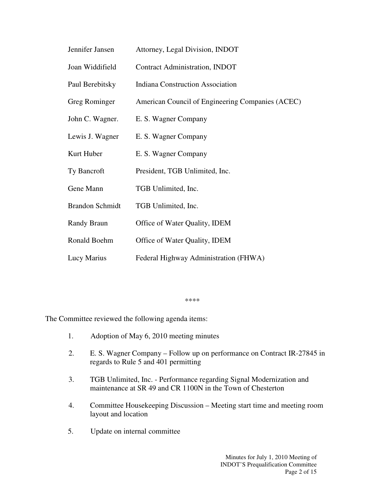| Jennifer Jansen        | Attorney, Legal Division, INDOT                  |
|------------------------|--------------------------------------------------|
| Joan Widdifield        | <b>Contract Administration, INDOT</b>            |
| Paul Berebitsky        | <b>Indiana Construction Association</b>          |
| Greg Rominger          | American Council of Engineering Companies (ACEC) |
| John C. Wagner.        | E. S. Wagner Company                             |
| Lewis J. Wagner        | E. S. Wagner Company                             |
| Kurt Huber             | E. S. Wagner Company                             |
| Ty Bancroft            | President, TGB Unlimited, Inc.                   |
| Gene Mann              | TGB Unlimited, Inc.                              |
| <b>Brandon Schmidt</b> | TGB Unlimited, Inc.                              |
| Randy Braun            | Office of Water Quality, IDEM                    |
| Ronald Boehm           | Office of Water Quality, IDEM                    |
| Lucy Marius            | Federal Highway Administration (FHWA)            |

\*\*\*\*

The Committee reviewed the following agenda items:

- 1. Adoption of May 6, 2010 meeting minutes
- 2. E. S. Wagner Company Follow up on performance on Contract IR-27845 in regards to Rule 5 and 401 permitting
- 3. TGB Unlimited, Inc. Performance regarding Signal Modernization and maintenance at SR 49 and CR 1100N in the Town of Chesterton
- 4. Committee Housekeeping Discussion Meeting start time and meeting room layout and location
- 5. Update on internal committee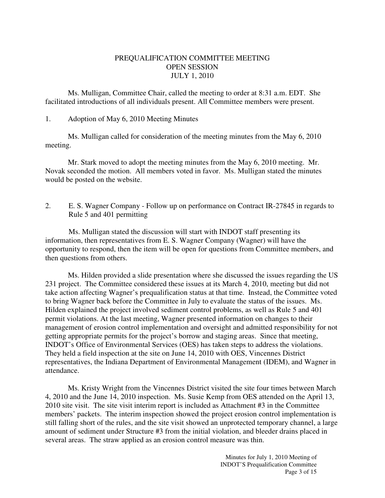## PREQUALIFICATION COMMITTEE MEETING OPEN SESSION JULY 1, 2010

 Ms. Mulligan, Committee Chair, called the meeting to order at 8:31 a.m. EDT. She facilitated introductions of all individuals present. All Committee members were present.

## 1. Adoption of May 6, 2010 Meeting Minutes

 Ms. Mulligan called for consideration of the meeting minutes from the May 6, 2010 meeting.

 Mr. Stark moved to adopt the meeting minutes from the May 6, 2010 meeting. Mr. Novak seconded the motion. All members voted in favor. Ms. Mulligan stated the minutes would be posted on the website.

2. E. S. Wagner Company - Follow up on performance on Contract IR-27845 in regards to Rule 5 and 401 permitting

Ms. Mulligan stated the discussion will start with INDOT staff presenting its information, then representatives from E. S. Wagner Company (Wagner) will have the opportunity to respond, then the item will be open for questions from Committee members, and then questions from others.

Ms. Hilden provided a slide presentation where she discussed the issues regarding the US 231 project. The Committee considered these issues at its March 4, 2010, meeting but did not take action affecting Wagner's prequalification status at that time. Instead, the Committee voted to bring Wagner back before the Committee in July to evaluate the status of the issues. Ms. Hilden explained the project involved sediment control problems, as well as Rule 5 and 401 permit violations. At the last meeting, Wagner presented information on changes to their management of erosion control implementation and oversight and admitted responsibility for not getting appropriate permits for the project's borrow and staging areas. Since that meeting, INDOT's Office of Environmental Services (OES) has taken steps to address the violations. They held a field inspection at the site on June 14, 2010 with OES, Vincennes District representatives, the Indiana Department of Environmental Management (IDEM), and Wagner in attendance.

Ms. Kristy Wright from the Vincennes District visited the site four times between March 4, 2010 and the June 14, 2010 inspection. Ms. Susie Kemp from OES attended on the April 13, 2010 site visit. The site visit interim report is included as Attachment #3 in the Committee members' packets. The interim inspection showed the project erosion control implementation is still falling short of the rules, and the site visit showed an unprotected temporary channel, a large amount of sediment under Structure #3 from the initial violation, and bleeder drains placed in several areas. The straw applied as an erosion control measure was thin.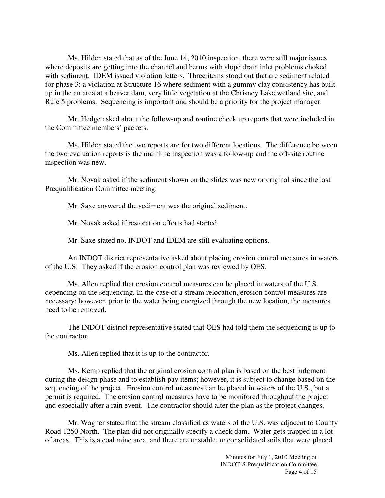Ms. Hilden stated that as of the June 14, 2010 inspection, there were still major issues where deposits are getting into the channel and berms with slope drain inlet problems choked with sediment. IDEM issued violation letters. Three items stood out that are sediment related for phase 3: a violation at Structure 16 where sediment with a gummy clay consistency has built up in the an area at a beaver dam, very little vegetation at the Chrisney Lake wetland site, and Rule 5 problems. Sequencing is important and should be a priority for the project manager.

Mr. Hedge asked about the follow-up and routine check up reports that were included in the Committee members' packets.

 Ms. Hilden stated the two reports are for two different locations. The difference between the two evaluation reports is the mainline inspection was a follow-up and the off-site routine inspection was new.

 Mr. Novak asked if the sediment shown on the slides was new or original since the last Prequalification Committee meeting.

Mr. Saxe answered the sediment was the original sediment.

Mr. Novak asked if restoration efforts had started.

Mr. Saxe stated no, INDOT and IDEM are still evaluating options.

 An INDOT district representative asked about placing erosion control measures in waters of the U.S. They asked if the erosion control plan was reviewed by OES.

 Ms. Allen replied that erosion control measures can be placed in waters of the U.S. depending on the sequencing. In the case of a stream relocation, erosion control measures are necessary; however, prior to the water being energized through the new location, the measures need to be removed.

 The INDOT district representative stated that OES had told them the sequencing is up to the contractor.

Ms. Allen replied that it is up to the contractor.

 Ms. Kemp replied that the original erosion control plan is based on the best judgment during the design phase and to establish pay items; however, it is subject to change based on the sequencing of the project. Erosion control measures can be placed in waters of the U.S., but a permit is required. The erosion control measures have to be monitored throughout the project and especially after a rain event. The contractor should alter the plan as the project changes.

 Mr. Wagner stated that the stream classified as waters of the U.S. was adjacent to County Road 1250 North. The plan did not originally specify a check dam. Water gets trapped in a lot of areas. This is a coal mine area, and there are unstable, unconsolidated soils that were placed

> Minutes for July 1, 2010 Meeting of INDOT'S Prequalification Committee Page 4 of 15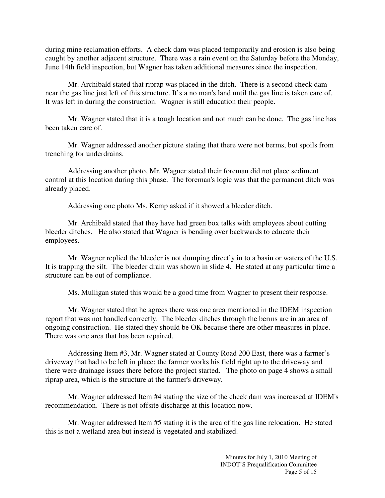during mine reclamation efforts. A check dam was placed temporarily and erosion is also being caught by another adjacent structure. There was a rain event on the Saturday before the Monday, June 14th field inspection, but Wagner has taken additional measures since the inspection.

 Mr. Archibald stated that riprap was placed in the ditch. There is a second check dam near the gas line just left of this structure. It's a no man's land until the gas line is taken care of. It was left in during the construction. Wagner is still education their people.

 Mr. Wagner stated that it is a tough location and not much can be done. The gas line has been taken care of.

 Mr. Wagner addressed another picture stating that there were not berms, but spoils from trenching for underdrains.

 Addressing another photo, Mr. Wagner stated their foreman did not place sediment control at this location during this phase. The foreman's logic was that the permanent ditch was already placed.

Addressing one photo Ms. Kemp asked if it showed a bleeder ditch.

 Mr. Archibald stated that they have had green box talks with employees about cutting bleeder ditches. He also stated that Wagner is bending over backwards to educate their employees.

 Mr. Wagner replied the bleeder is not dumping directly in to a basin or waters of the U.S. It is trapping the silt. The bleeder drain was shown in slide 4. He stated at any particular time a structure can be out of compliance.

Ms. Mulligan stated this would be a good time from Wagner to present their response.

 Mr. Wagner stated that he agrees there was one area mentioned in the IDEM inspection report that was not handled correctly. The bleeder ditches through the berms are in an area of ongoing construction. He stated they should be OK because there are other measures in place. There was one area that has been repaired.

 Addressing Item #3, Mr. Wagner stated at County Road 200 East, there was a farmer's driveway that had to be left in place; the farmer works his field right up to the driveway and there were drainage issues there before the project started. The photo on page 4 shows a small riprap area, which is the structure at the farmer's driveway.

 Mr. Wagner addressed Item #4 stating the size of the check dam was increased at IDEM's recommendation. There is not offsite discharge at this location now.

 Mr. Wagner addressed Item #5 stating it is the area of the gas line relocation. He stated this is not a wetland area but instead is vegetated and stabilized.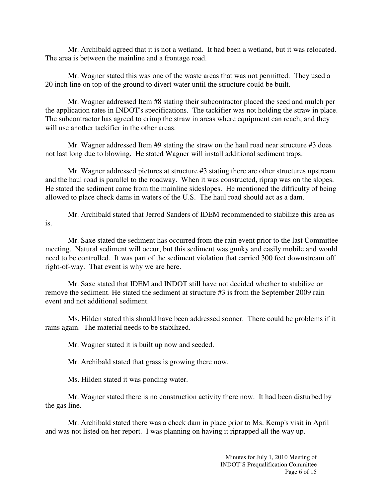Mr. Archibald agreed that it is not a wetland. It had been a wetland, but it was relocated. The area is between the mainline and a frontage road.

 Mr. Wagner stated this was one of the waste areas that was not permitted. They used a 20 inch line on top of the ground to divert water until the structure could be built.

 Mr. Wagner addressed Item #8 stating their subcontractor placed the seed and mulch per the application rates in INDOT's specifications. The tackifier was not holding the straw in place. The subcontractor has agreed to crimp the straw in areas where equipment can reach, and they will use another tackifier in the other areas.

 Mr. Wagner addressed Item #9 stating the straw on the haul road near structure #3 does not last long due to blowing. He stated Wagner will install additional sediment traps.

 Mr. Wagner addressed pictures at structure #3 stating there are other structures upstream and the haul road is parallel to the roadway. When it was constructed, riprap was on the slopes. He stated the sediment came from the mainline sideslopes. He mentioned the difficulty of being allowed to place check dams in waters of the U.S. The haul road should act as a dam.

 Mr. Archibald stated that Jerrod Sanders of IDEM recommended to stabilize this area as is.

 Mr. Saxe stated the sediment has occurred from the rain event prior to the last Committee meeting. Natural sediment will occur, but this sediment was gunky and easily mobile and would need to be controlled. It was part of the sediment violation that carried 300 feet downstream off right-of-way. That event is why we are here.

 Mr. Saxe stated that IDEM and INDOT still have not decided whether to stabilize or remove the sediment. He stated the sediment at structure #3 is from the September 2009 rain event and not additional sediment.

 Ms. Hilden stated this should have been addressed sooner. There could be problems if it rains again. The material needs to be stabilized.

Mr. Wagner stated it is built up now and seeded.

Mr. Archibald stated that grass is growing there now.

Ms. Hilden stated it was ponding water.

 Mr. Wagner stated there is no construction activity there now. It had been disturbed by the gas line.

 Mr. Archibald stated there was a check dam in place prior to Ms. Kemp's visit in April and was not listed on her report. I was planning on having it riprapped all the way up.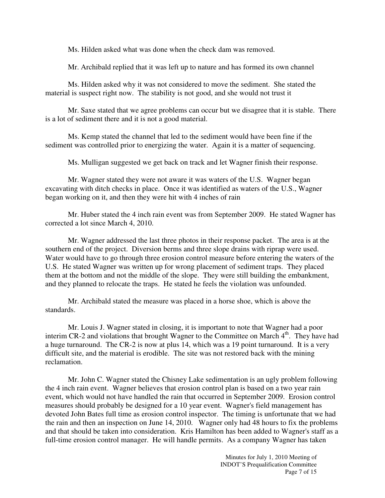Ms. Hilden asked what was done when the check dam was removed.

Mr. Archibald replied that it was left up to nature and has formed its own channel

 Ms. Hilden asked why it was not considered to move the sediment. She stated the material is suspect right now. The stability is not good, and she would not trust it

 Mr. Saxe stated that we agree problems can occur but we disagree that it is stable. There is a lot of sediment there and it is not a good material.

 Ms. Kemp stated the channel that led to the sediment would have been fine if the sediment was controlled prior to energizing the water. Again it is a matter of sequencing.

Ms. Mulligan suggested we get back on track and let Wagner finish their response.

 Mr. Wagner stated they were not aware it was waters of the U.S. Wagner began excavating with ditch checks in place. Once it was identified as waters of the U.S., Wagner began working on it, and then they were hit with 4 inches of rain

 Mr. Huber stated the 4 inch rain event was from September 2009. He stated Wagner has corrected a lot since March 4, 2010.

 Mr. Wagner addressed the last three photos in their response packet. The area is at the southern end of the project. Diversion berms and three slope drains with riprap were used. Water would have to go through three erosion control measure before entering the waters of the U.S. He stated Wagner was written up for wrong placement of sediment traps. They placed them at the bottom and not the middle of the slope. They were still building the embankment, and they planned to relocate the traps. He stated he feels the violation was unfounded.

 Mr. Archibald stated the measure was placed in a horse shoe, which is above the standards.

 Mr. Louis J. Wagner stated in closing, it is important to note that Wagner had a poor interim CR-2 and violations that brought Wagner to the Committee on March  $4<sup>th</sup>$ . They have had a huge turnaround. The CR-2 is now at plus 14, which was a 19 point turnaround. It is a very difficult site, and the material is erodible. The site was not restored back with the mining reclamation.

 Mr. John C. Wagner stated the Chisney Lake sedimentation is an ugly problem following the 4 inch rain event. Wagner believes that erosion control plan is based on a two year rain event, which would not have handled the rain that occurred in September 2009. Erosion control measures should probably be designed for a 10 year event. Wagner's field management has devoted John Bates full time as erosion control inspector. The timing is unfortunate that we had the rain and then an inspection on June 14, 2010. Wagner only had 48 hours to fix the problems and that should be taken into consideration. Kris Hamilton has been added to Wagner's staff as a full-time erosion control manager. He will handle permits. As a company Wagner has taken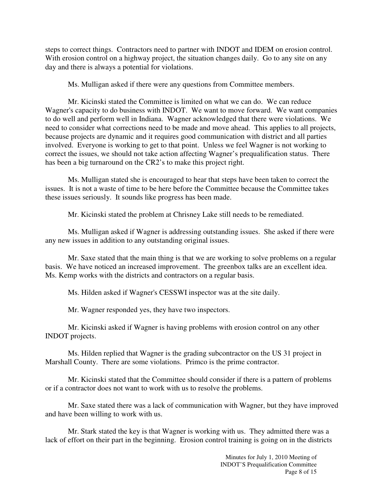steps to correct things. Contractors need to partner with INDOT and IDEM on erosion control. With erosion control on a highway project, the situation changes daily. Go to any site on any day and there is always a potential for violations.

Ms. Mulligan asked if there were any questions from Committee members.

 Mr. Kicinski stated the Committee is limited on what we can do. We can reduce Wagner's capacity to do business with INDOT. We want to move forward. We want companies to do well and perform well in Indiana. Wagner acknowledged that there were violations. We need to consider what corrections need to be made and move ahead. This applies to all projects, because projects are dynamic and it requires good communication with district and all parties involved. Everyone is working to get to that point. Unless we feel Wagner is not working to correct the issues, we should not take action affecting Wagner's prequalification status. There has been a big turnaround on the CR2's to make this project right.

 Ms. Mulligan stated she is encouraged to hear that steps have been taken to correct the issues. It is not a waste of time to be here before the Committee because the Committee takes these issues seriously. It sounds like progress has been made.

Mr. Kicinski stated the problem at Chrisney Lake still needs to be remediated.

 Ms. Mulligan asked if Wagner is addressing outstanding issues. She asked if there were any new issues in addition to any outstanding original issues.

 Mr. Saxe stated that the main thing is that we are working to solve problems on a regular basis. We have noticed an increased improvement. The greenbox talks are an excellent idea. Ms. Kemp works with the districts and contractors on a regular basis.

Ms. Hilden asked if Wagner's CESSWI inspector was at the site daily.

Mr. Wagner responded yes, they have two inspectors.

 Mr. Kicinski asked if Wagner is having problems with erosion control on any other INDOT projects.

 Ms. Hilden replied that Wagner is the grading subcontractor on the US 31 project in Marshall County. There are some violations. Primco is the prime contractor.

 Mr. Kicinski stated that the Committee should consider if there is a pattern of problems or if a contractor does not want to work with us to resolve the problems.

 Mr. Saxe stated there was a lack of communication with Wagner, but they have improved and have been willing to work with us.

 Mr. Stark stated the key is that Wagner is working with us. They admitted there was a lack of effort on their part in the beginning. Erosion control training is going on in the districts

> Minutes for July 1, 2010 Meeting of INDOT'S Prequalification Committee Page 8 of 15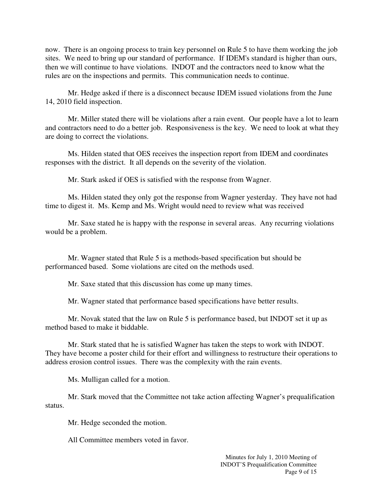now. There is an ongoing process to train key personnel on Rule 5 to have them working the job sites. We need to bring up our standard of performance. If IDEM's standard is higher than ours, then we will continue to have violations. INDOT and the contractors need to know what the rules are on the inspections and permits. This communication needs to continue.

 Mr. Hedge asked if there is a disconnect because IDEM issued violations from the June 14, 2010 field inspection.

 Mr. Miller stated there will be violations after a rain event. Our people have a lot to learn and contractors need to do a better job. Responsiveness is the key. We need to look at what they are doing to correct the violations.

 Ms. Hilden stated that OES receives the inspection report from IDEM and coordinates responses with the district. It all depends on the severity of the violation.

Mr. Stark asked if OES is satisfied with the response from Wagner.

 Ms. Hilden stated they only got the response from Wagner yesterday. They have not had time to digest it. Ms. Kemp and Ms. Wright would need to review what was received

 Mr. Saxe stated he is happy with the response in several areas. Any recurring violations would be a problem.

 Mr. Wagner stated that Rule 5 is a methods-based specification but should be performanced based. Some violations are cited on the methods used.

Mr. Saxe stated that this discussion has come up many times.

Mr. Wagner stated that performance based specifications have better results.

 Mr. Novak stated that the law on Rule 5 is performance based, but INDOT set it up as method based to make it biddable.

 Mr. Stark stated that he is satisfied Wagner has taken the steps to work with INDOT. They have become a poster child for their effort and willingness to restructure their operations to address erosion control issues. There was the complexity with the rain events.

Ms. Mulligan called for a motion.

 Mr. Stark moved that the Committee not take action affecting Wagner's prequalification status.

Mr. Hedge seconded the motion.

All Committee members voted in favor.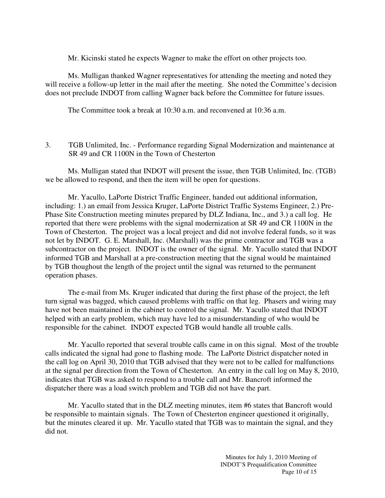Mr. Kicinski stated he expects Wagner to make the effort on other projects too.

 Ms. Mulligan thanked Wagner representatives for attending the meeting and noted they will receive a follow-up letter in the mail after the meeting. She noted the Committee's decision does not preclude INDOT from calling Wagner back before the Committee for future issues.

The Committee took a break at 10:30 a.m. and reconvened at 10:36 a.m.

3. TGB Unlimited, Inc. - Performance regarding Signal Modernization and maintenance at SR 49 and CR 1100N in the Town of Chesterton

Ms. Mulligan stated that INDOT will present the issue, then TGB Unlimited, Inc. (TGB) we be allowed to respond, and then the item will be open for questions.

Mr. Yacullo, LaPorte District Traffic Engineer, handed out additional information, including: 1.) an email from Jessica Kruger, LaPorte District Traffic Systems Engineer, 2.) Pre-Phase Site Construction meeting minutes prepared by DLZ Indiana, Inc., and 3.) a call log. He reported that there were problems with the signal modernization at SR 49 and CR 1100N in the Town of Chesterton. The project was a local project and did not involve federal funds, so it was not let by INDOT. G. E. Marshall, Inc. (Marshall) was the prime contractor and TGB was a subcontractor on the project. INDOT is the owner of the signal. Mr. Yacullo stated that INDOT informed TGB and Marshall at a pre-construction meeting that the signal would be maintained by TGB thoughout the length of the project until the signal was returned to the permanent operation phases.

The e-mail from Ms. Kruger indicated that during the first phase of the project, the left turn signal was bagged, which caused problems with traffic on that leg. Phasers and wiring may have not been maintained in the cabinet to control the signal. Mr. Yacullo stated that INDOT helped with an early problem, which may have led to a misunderstanding of who would be responsible for the cabinet. INDOT expected TGB would handle all trouble calls.

Mr. Yacullo reported that several trouble calls came in on this signal. Most of the trouble calls indicated the signal had gone to flashing mode. The LaPorte District dispatcher noted in the call log on April 30, 2010 that TGB advised that they were not to be called for malfunctions at the signal per direction from the Town of Chesterton. An entry in the call log on May 8, 2010, indicates that TGB was asked to respond to a trouble call and Mr. Bancroft informed the dispatcher there was a load switch problem and TGB did not have the part.

Mr. Yacullo stated that in the DLZ meeting minutes, item #6 states that Bancroft would be responsible to maintain signals. The Town of Chesterton engineer questioned it originally, but the minutes cleared it up. Mr. Yacullo stated that TGB was to maintain the signal, and they did not.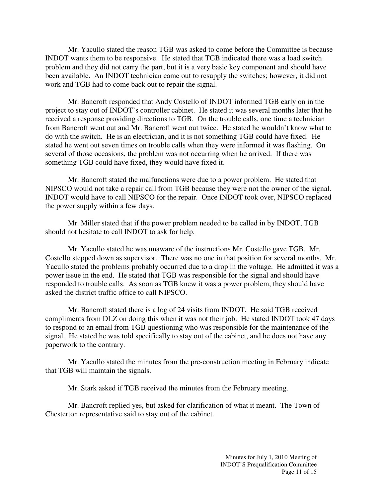Mr. Yacullo stated the reason TGB was asked to come before the Committee is because INDOT wants them to be responsive. He stated that TGB indicated there was a load switch problem and they did not carry the part, but it is a very basic key component and should have been available. An INDOT technician came out to resupply the switches; however, it did not work and TGB had to come back out to repair the signal.

Mr. Bancroft responded that Andy Costello of INDOT informed TGB early on in the project to stay out of INDOT's controller cabinet. He stated it was several months later that he received a response providing directions to TGB. On the trouble calls, one time a technician from Bancroft went out and Mr. Bancroft went out twice. He stated he wouldn't know what to do with the switch. He is an electrician, and it is not something TGB could have fixed. He stated he went out seven times on trouble calls when they were informed it was flashing. On several of those occasions, the problem was not occurring when he arrived. If there was something TGB could have fixed, they would have fixed it.

Mr. Bancroft stated the malfunctions were due to a power problem. He stated that NIPSCO would not take a repair call from TGB because they were not the owner of the signal. INDOT would have to call NIPSCO for the repair. Once INDOT took over, NIPSCO replaced the power supply within a few days.

Mr. Miller stated that if the power problem needed to be called in by INDOT, TGB should not hesitate to call INDOT to ask for help.

Mr. Yacullo stated he was unaware of the instructions Mr. Costello gave TGB. Mr. Costello stepped down as supervisor. There was no one in that position for several months. Mr. Yacullo stated the problems probably occurred due to a drop in the voltage. He admitted it was a power issue in the end. He stated that TGB was responsible for the signal and should have responded to trouble calls. As soon as TGB knew it was a power problem, they should have asked the district traffic office to call NIPSCO.

Mr. Bancroft stated there is a log of 24 visits from INDOT. He said TGB received compliments from DLZ on doing this when it was not their job. He stated INDOT took 47 days to respond to an email from TGB questioning who was responsible for the maintenance of the signal. He stated he was told specifically to stay out of the cabinet, and he does not have any paperwork to the contrary.

Mr. Yacullo stated the minutes from the pre-construction meeting in February indicate that TGB will maintain the signals.

Mr. Stark asked if TGB received the minutes from the February meeting.

Mr. Bancroft replied yes, but asked for clarification of what it meant. The Town of Chesterton representative said to stay out of the cabinet.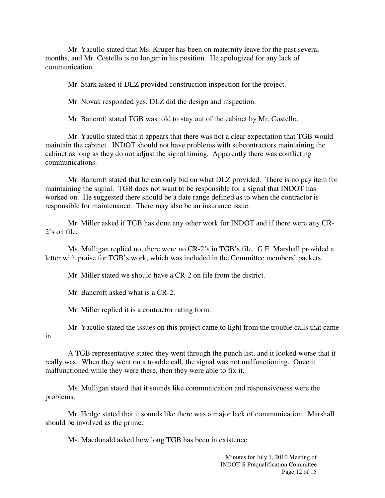Mr. Yacullo stated that Ms. Kruger has been on maternity leave for the past several months, and Mr. Costello is no longer in his position. He apologized for any lack of communication.

Mr. Stark asked if DLZ provided construction inspection for the project.

Mr. Novak responded yes, DLZ did the design and inspection.

Mr. Bancroft stated TGB was told to stay out of the cabinet by Mr. Costello.

Mr. Yacullo stated that it appears that there was not a clear expectation that TGB would maintain the cabinet. INDOT should not have problems with subcontractors maintaining the cabinet as long as they do not adjust the signal timing. Apparently there was conflicting communications.

Mr. Bancroft stated that he can only bid on what DLZ provided. There is no pay item for maintaining the signal. TGB does not want to be responsible for a signal that INDOT has worked on. He suggested there should be a date range defined as to when the contractor is responsible for maintenance. There may also be an insurance issue.

Mr. Miller asked if TGB has done any other work for INDOT and if there were any CR-2's on file.

Ms. Mulligan replied no, there were no CR-2's in TGB's file. G.E. Marshall provided a letter with praise for TGB's work, which was included in the Committee members' packets.

Mr. Miller stated we should have a CR-2 on file from the district.

Mr. Bancroft asked what is a CR-2.

Mr. Miller replied it is a contractor rating form.

Mr. Yacullo stated the issues on this project came to light from the trouble calls that came in.

A TGB representative stated they went through the punch list, and it looked worse that it really was. When they went on a trouble call, the signal was not malfunctioning. Once it malfunctioned while they were there, then they were able to fix it.

Ms. Mulligan stated that it sounds like communication and responsiveness were the problems.

Mr. Hedge stated that it sounds like there was a major lack of communication. Marshall should be involved as the prime.

Ms. Macdonald asked how long TGB has been in existence.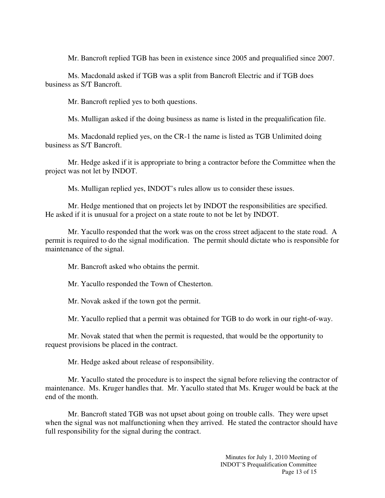Mr. Bancroft replied TGB has been in existence since 2005 and prequalified since 2007.

Ms. Macdonald asked if TGB was a split from Bancroft Electric and if TGB does business as S/T Bancroft.

Mr. Bancroft replied yes to both questions.

Ms. Mulligan asked if the doing business as name is listed in the prequalification file.

Ms. Macdonald replied yes, on the CR-1 the name is listed as TGB Unlimited doing business as S/T Bancroft.

Mr. Hedge asked if it is appropriate to bring a contractor before the Committee when the project was not let by INDOT.

Ms. Mulligan replied yes, INDOT's rules allow us to consider these issues.

Mr. Hedge mentioned that on projects let by INDOT the responsibilities are specified. He asked if it is unusual for a project on a state route to not be let by INDOT.

Mr. Yacullo responded that the work was on the cross street adjacent to the state road. A permit is required to do the signal modification. The permit should dictate who is responsible for maintenance of the signal.

Mr. Bancroft asked who obtains the permit.

Mr. Yacullo responded the Town of Chesterton.

Mr. Novak asked if the town got the permit.

Mr. Yacullo replied that a permit was obtained for TGB to do work in our right-of-way.

Mr. Novak stated that when the permit is requested, that would be the opportunity to request provisions be placed in the contract.

Mr. Hedge asked about release of responsibility.

Mr. Yacullo stated the procedure is to inspect the signal before relieving the contractor of maintenance. Ms. Kruger handles that. Mr. Yacullo stated that Ms. Kruger would be back at the end of the month.

 Mr. Bancroft stated TGB was not upset about going on trouble calls. They were upset when the signal was not malfunctioning when they arrived. He stated the contractor should have full responsibility for the signal during the contract.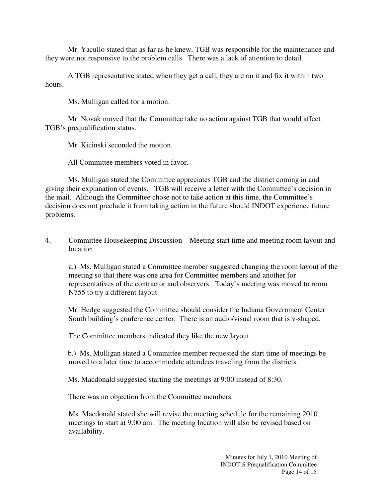Mr. Yacullo stated that as far as he knew, TGB was responsible for the maintenance and they were not responsive to the problem calls. There was a lack of attention to detail.

A TGB representative stated when they get a call, they are on it and fix it within two hours.

Ms. Mulligan called for a motion.

 Mr. Novak moved that the Committee take no action against TGB that would affect TGB's prequalification status.

Mr. Kicinski seconded the motion.

All Committee members voted in favor.

 Ms. Mulligan stated the Committee appreciates TGB and the district coming in and giving their explanation of events. TGB will receive a letter with the Committee's decision in the mail. Although the Committee chose not to take action at this time, the Committee's decision does not preclude it from taking action in the future should INDOT experience future problems.

4. Committee Housekeeping Discussion – Meeting start time and meeting room layout and location

 a.) Ms. Mulligan stated a Committee member suggested changing the room layout of the meeting so that there was one area for Committee members and another for representatives of the contractor and observers. Today's meeting was moved to room N755 to try a different layout.

Mr. Hedge suggested the Committee should consider the Indiana Government Center South building's conference center. There is an audio/visual room that is v-shaped.

The Committee members indicated they like the new layout.

b.) Ms. Mulligan stated a Committee member requested the start time of meetings be moved to a later time to accommodate attendees traveling from the districts.

Ms. Macdonald suggested starting the meetings at 9:00 instead of 8:30.

There was no objection from the Committee members.

 Ms. Macdonald stated she will revise the meeting schedule for the remaining 2010 meetings to start at 9:00 am. The meeting location will also be revised based on availability.